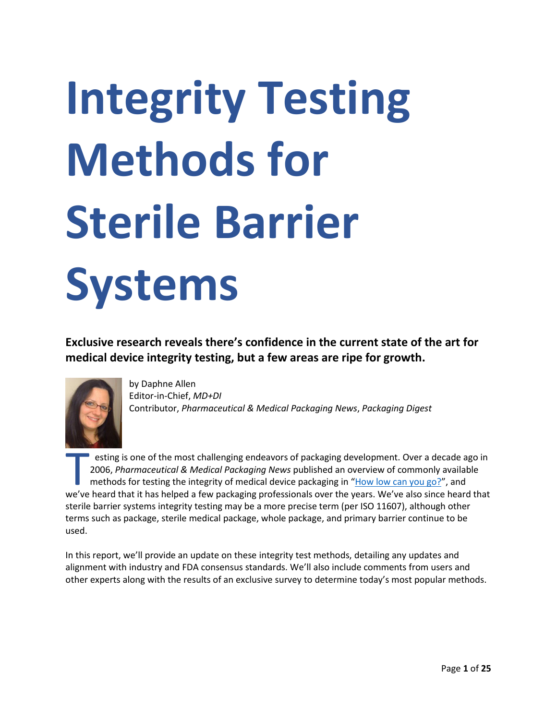# **Integrity Testing Methods for Sterile Barrier Systems**

**Exclusive research reveals there's confidence in the current state of the art for medical device integrity testing, but a few areas are ripe for growth.**



by Daphne Allen Editor-in-Chief, *MD+DI* Contributor, *Pharmaceutical & Medical Packaging News*, *Packaging Digest*

esting is one of the most challenging endeavors of packaging development. Over a decade ago in 2006, *Pharmaceutical & Medical Packaging News* published an overview of commonly available methods for testing the integrity of medical device packaging in "[How low can you go?](https://www.packagingdigest.com/testing/pmp-how-low-can-you-go-060707)", and esting is one of the most challenging endeavors of packaging development. Over a decade ago in<br>2006, *Pharmaceutical & Medical Packaging News* published an overview of commonly available<br>methods for testing the integrity o sterile barrier systems integrity testing may be a more precise term (per ISO 11607), although other terms such as package, sterile medical package, whole package, and primary barrier continue to be used.

In this report, we'll provide an update on these integrity test methods, detailing any updates and alignment with industry and FDA consensus standards. We'll also include comments from users and other experts along with the results of an exclusive survey to determine today's most popular methods.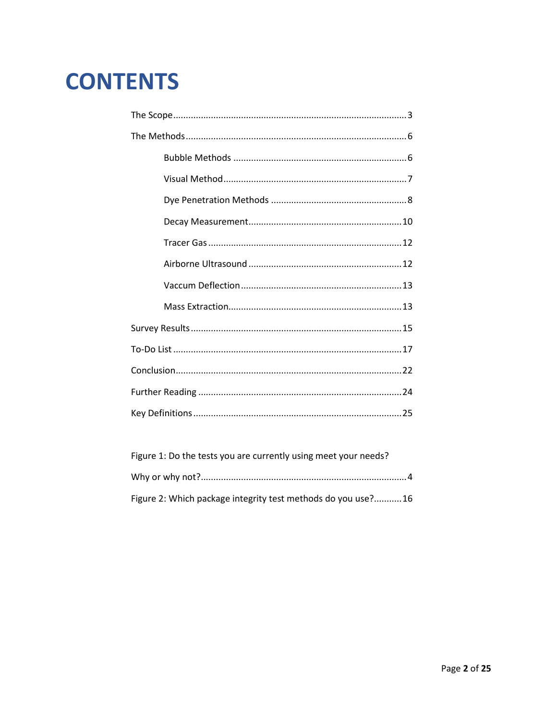## **CONTENTS**

| Figure 1: Do the tests you are currently using meet your needs? |  |
|-----------------------------------------------------------------|--|
|                                                                 |  |
| Figure 2: Which package integrity test methods do you use?16    |  |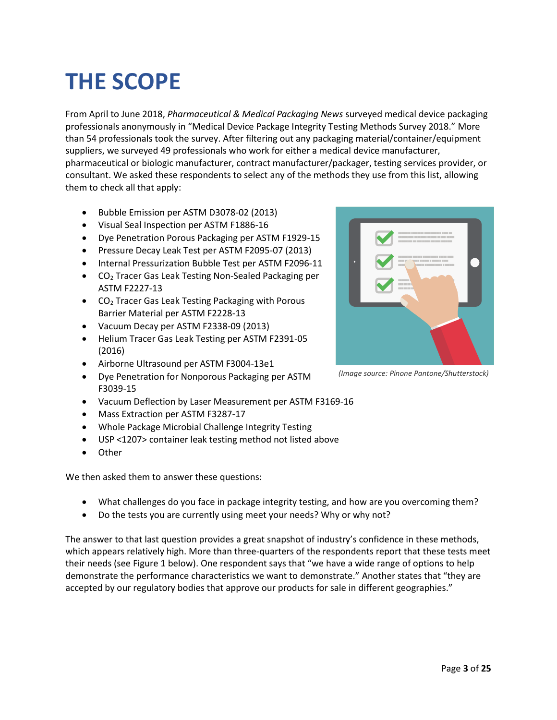# **THE SCOPE**

From April to June 2018, *Pharmaceutical & Medical Packaging News* surveyed medical device packaging professionals anonymously in "Medical Device Package Integrity Testing Methods Survey 2018." More than 54 professionals took the survey. After filtering out any packaging material/container/equipment suppliers, we surveyed 49 professionals who work for either a medical device manufacturer, pharmaceutical or biologic manufacturer, contract manufacturer/packager, testing services provider, or consultant. We asked these respondents to select any of the methods they use from this list, allowing them to check all that apply:

- Bubble Emission per ASTM D3078-02 (2013)
- Visual Seal Inspection per ASTM F1886-16
- Dye Penetration Porous Packaging per ASTM F1929-15
- Pressure Decay Leak Test per ASTM F2095-07 (2013)
- Internal Pressurization Bubble Test per ASTM F2096-11
- CO<sub>2</sub> Tracer Gas Leak Testing Non-Sealed Packaging per ASTM F2227-13
- CO<sub>2</sub> Tracer Gas Leak Testing Packaging with Porous Barrier Material per ASTM F2228-13
- Vacuum Decay per ASTM F2338-09 (2013)
- Helium Tracer Gas Leak Testing per ASTM F2391-05 (2016)
- Airborne Ultrasound per ASTM F3004-13e1
- Dye Penetration for Nonporous Packaging per ASTM F3039-15
- Vacuum Deflection by Laser Measurement per ASTM F3169-16
- Mass Extraction per ASTM F3287-17
- Whole Package Microbial Challenge Integrity Testing
- USP <1207> container leak testing method not listed above
- **Other**

We then asked them to answer these questions:

- What challenges do you face in package integrity testing, and how are you overcoming them?
- Do the tests you are currently using meet your needs? Why or why not?

The answer to that last question provides a great snapshot of industry's confidence in these methods, which appears relatively high. More than three-quarters of the respondents report that these tests meet their needs (see Figure 1 below). One respondent says that "we have a wide range of options to help demonstrate the performance characteristics we want to demonstrate." Another states that "they are accepted by our regulatory bodies that approve our products for sale in different geographies."

*(Image source: Pinone Pantone/Shutterstock)*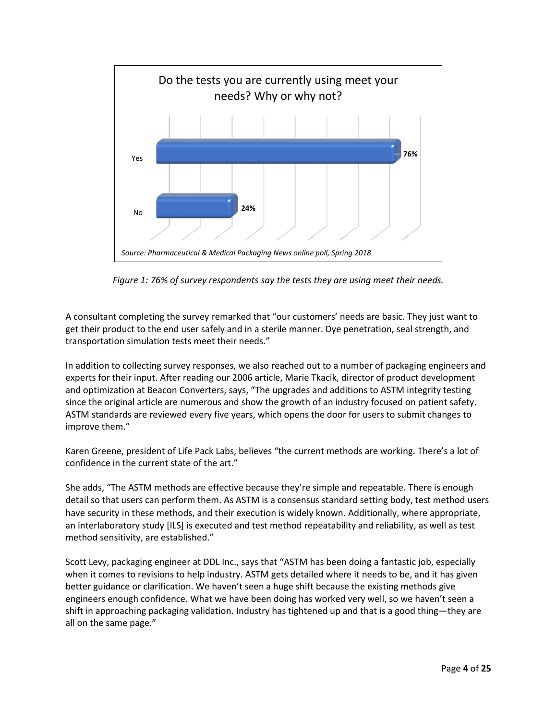

*Figure 1: 76% of survey respondents say the tests they are using meet their needs.*

A consultant completing the survey remarked that "our customers' needs are basic. They just want to get their product to the end user safely and in a sterile manner. Dye penetration, seal strength, and transportation simulation tests meet their needs."

In addition to collecting survey responses, we also reached out to a number of packaging engineers and experts for their input. After reading our 2006 article, Marie Tkacik, director of product development and optimization at Beacon Converters, says, "The upgrades and additions to ASTM integrity testing since the original article are numerous and show the growth of an industry focused on patient safety. ASTM standards are reviewed every five years, which opens the door for users to submit changes to improve them."

Karen Greene, president of Life Pack Labs, believes "the current methods are working. There's a lot of confidence in the current state of the art."

She adds, "The ASTM methods are effective because they're simple and repeatable. There is enough detail so that users can perform them. As ASTM is a consensus standard setting body, test method users have security in these methods, and their execution is widely known. Additionally, where appropriate, an interlaboratory study [ILS] is executed and test method repeatability and reliability, as well as test method sensitivity, are established."

Scott Levy, packaging engineer at DDL Inc., says that "ASTM has been doing a fantastic job, especially when it comes to revisions to help industry. ASTM gets detailed where it needs to be, and it has given better guidance or clarification. We haven't seen a huge shift because the existing methods give engineers enough confidence. What we have been doing has worked very well, so we haven't seen a shift in approaching packaging validation. Industry has tightened up and that is a good thing—they are all on the same page."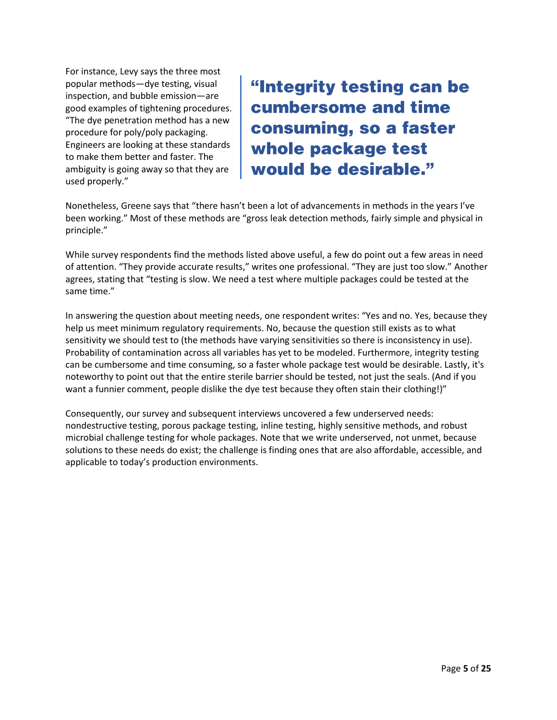For instance, Levy says the three most popular methods—dye testing, visual inspection, and bubble emission—are good examples of tightening procedures. "The dye penetration method has a new procedure for poly/poly packaging. Engineers are looking at these standards to make them better and faster. The ambiguity is going away so that they are used properly."

"Integrity testing can be cumbersome and time consuming, so a faster whole package test would be desirable."

Nonetheless, Greene says that "there hasn't been a lot of advancements in methods in the years I've been working." Most of these methods are "gross leak detection methods, fairly simple and physical in principle."

While survey respondents find the methods listed above useful, a few do point out a few areas in need of attention. "They provide accurate results," writes one professional. "They are just too slow." Another agrees, stating that "testing is slow. We need a test where multiple packages could be tested at the same time."

In answering the question about meeting needs, one respondent writes: "Yes and no. Yes, because they help us meet minimum regulatory requirements. No, because the question still exists as to what sensitivity we should test to (the methods have varying sensitivities so there is inconsistency in use). Probability of contamination across all variables has yet to be modeled. Furthermore, integrity testing can be cumbersome and time consuming, so a faster whole package test would be desirable. Lastly, it's noteworthy to point out that the entire sterile barrier should be tested, not just the seals. (And if you want a funnier comment, people dislike the dye test because they often stain their clothing!)"

Consequently, our survey and subsequent interviews uncovered a few underserved needs: nondestructive testing, porous package testing, inline testing, highly sensitive methods, and robust microbial challenge testing for whole packages. Note that we write underserved, not unmet, because solutions to these needs do exist; the challenge is finding ones that are also affordable, accessible, and applicable to today's production environments.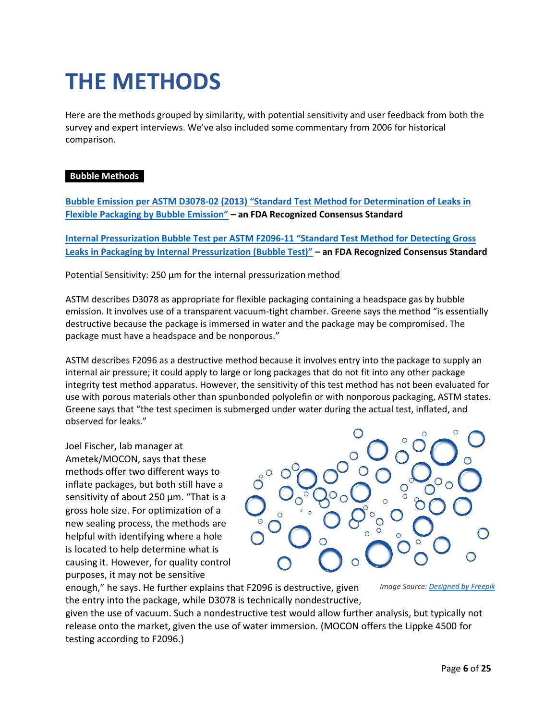## **THE METHODS**

Here are the methods grouped by similarity, with potential sensitivity and user feedback from both the survey and expert interviews. We've also included some commentary from 2006 for historical comparison.

#### **Bubble Methods•**

**Bubble Emission per ASTM D3078-02 (2013) "[Standard Test Method for Determination of Leaks in](https://www.astm.org/Standards/D3078.htm)  [Flexible Packaging by Bubble Emission"](https://www.astm.org/Standards/D3078.htm) – an FDA Recognized Consensus Standard** 

**[Internal Pressurization Bubble Test per ASTM F2096-](https://www.astm.org/Standards/F2096.htm)11 "Standard Test Method for Detecting Gross [Leaks in Packaging by Internal Pressurization \(Bubble Test\)"](https://www.astm.org/Standards/F2096.htm) – an FDA Recognized Consensus Standard** 

Potential Sensitivity: 250 µm for the internal pressurization method

ASTM describes D3078 as appropriate for flexible packaging containing a headspace gas by bubble emission. It involves use of a transparent vacuum-tight chamber. Greene says the method "is essentially destructive because the package is immersed in water and the package may be compromised. The package must have a headspace and be nonporous."

ASTM describes F2096 as a destructive method because it involves entry into the package to supply an internal air pressure; it could apply to large or long packages that do not fit into any other package integrity test method apparatus. However, the sensitivity of this test method has not been evaluated for use with porous materials other than spunbonded polyolefin or with nonporous packaging, ASTM states. Greene says that "the test specimen is submerged under water during the actual test, inflated, and observed for leaks."

Joel Fischer, lab manager at Ametek/MOCON, says that these methods offer two different ways to inflate packages, but both still have a sensitivity of about 250 µm. "That is a gross hole size. For optimization of a new sealing process, the methods are helpful with identifying where a hole is located to help determine what is causing it. However, for quality control purposes, it may not be sensitive



enough," he says. He further explains that F2096 is destructive, given the entry into the package, while D3078 is technically nondestructive,

*Image Source[: Designed by Freepik](https://www.freepik.com/free-vector/water-bubbles-background-design_1171662.htm)*

given the use of vacuum. Such a nondestructive test would allow further analysis, but typically not release onto the market, given the use of water immersion. (MOCON offers the Lippke 4500 for testing according to F2096.)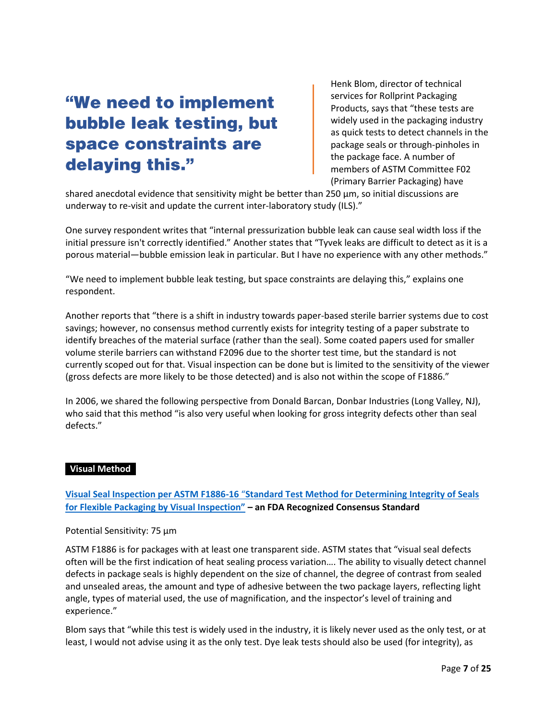### "We need to implement bubble leak testing, but space constraints are delaying this."

Henk Blom, director of technical services for Rollprint Packaging Products, says that "these tests are widely used in the packaging industry as quick tests to detect channels in the package seals or through-pinholes in the package face. A number of members of ASTM Committee F02 (Primary Barrier Packaging) have

shared anecdotal evidence that sensitivity might be better than 250 µm, so initial discussions are underway to re-visit and update the current inter-laboratory study (ILS)."

One survey respondent writes that "internal pressurization bubble leak can cause seal width loss if the initial pressure isn't correctly identified." Another states that "Tyvek leaks are difficult to detect as it is a porous material—bubble emission leak in particular. But I have no experience with any other methods."

"We need to implement bubble leak testing, but space constraints are delaying this," explains one respondent.

Another reports that "there is a shift in industry towards paper-based sterile barrier systems due to cost savings; however, no consensus method currently exists for integrity testing of a paper substrate to identify breaches of the material surface (rather than the seal). Some coated papers used for smaller volume sterile barriers can withstand F2096 due to the shorter test time, but the standard is not currently scoped out for that. Visual inspection can be done but is limited to the sensitivity of the viewer (gross defects are more likely to be those detected) and is also not within the scope of F1886."

In 2006, we shared the following perspective from Donald Barcan, Donbar Industries (Long Valley, NJ), who said that this method "is also very useful when looking for gross integrity defects other than seal defects."

#### **Visual Method•**

**Visual Seal Inspection per ASTM F1886-16** "**[Standard Test Method for Determining Integrity of Seals](https://www.astm.org/Standards/F1886.htm)  [for Flexible Packaging by Visual Inspection"](https://www.astm.org/Standards/F1886.htm) – an FDA Recognized Consensus Standard** 

#### Potential Sensitivity: 75 µm

ASTM F1886 is for packages with at least one transparent side. ASTM states that "visual seal defects often will be the first indication of heat sealing process variation…. The ability to visually detect channel defects in package seals is highly dependent on the size of channel, the degree of contrast from sealed and unsealed areas, the amount and type of adhesive between the two package layers, reflecting light angle, types of material used, the use of magnification, and the inspector's level of training and experience."

Blom says that "while this test is widely used in the industry, it is likely never used as the only test, or at least, I would not advise using it as the only test. Dye leak tests should also be used (for integrity), as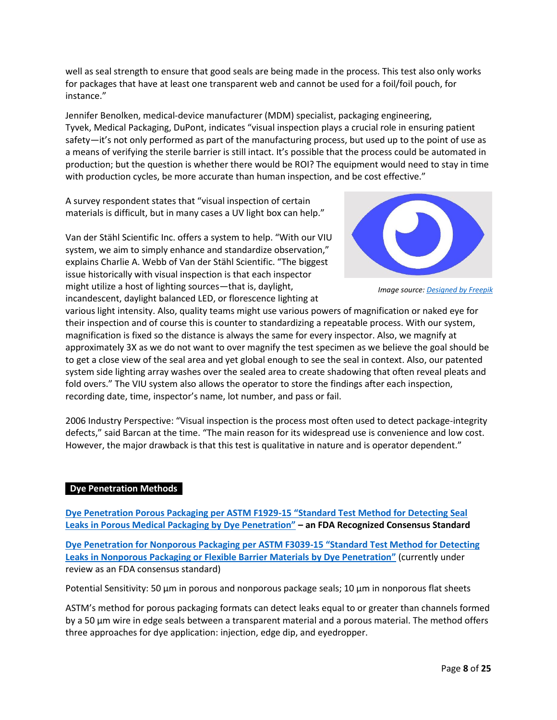well as seal strength to ensure that good seals are being made in the process. This test also only works for packages that have at least one transparent web and cannot be used for a foil/foil pouch, for instance."

Jennifer Benolken, medical-device manufacturer (MDM) specialist, packaging engineering, Tyvek, Medical Packaging, DuPont, indicates "visual inspection plays a crucial role in ensuring patient safety—it's not only performed as part of the manufacturing process, but used up to the point of use as a means of verifying the sterile barrier is still intact. It's possible that the process could be automated in production; but the question is whether there would be ROI? The equipment would need to stay in time with production cycles, be more accurate than human inspection, and be cost effective."

A survey respondent states that "visual inspection of certain materials is difficult, but in many cases a UV light box can help."

Van der Stähl Scientific Inc. offers a system to help. "With our VIU system, we aim to simply enhance and standardize observation," explains Charlie A. Webb of Van der Stähl Scientific. "The biggest issue historically with visual inspection is that each inspector might utilize a host of lighting sources—that is, daylight, incandescent, daylight balanced LED, or florescence lighting at



*Image source[: Designed by Freepik](https://www.freepik.com/free-vector/black-eye-icon_717279.htm)*

various light intensity. Also, quality teams might use various powers of magnification or naked eye for their inspection and of course this is counter to standardizing a repeatable process. With our system, magnification is fixed so the distance is always the same for every inspector. Also, we magnify at approximately 3X as we do not want to over magnify the test specimen as we believe the goal should be to get a close view of the seal area and yet global enough to see the seal in context. Also, our patented system side lighting array washes over the sealed area to create shadowing that often reveal pleats and fold overs." The VIU system also allows the operator to store the findings after each inspection, recording date, time, inspector's name, lot number, and pass or fail.

2006 Industry Perspective: "Visual inspection is the process most often used to detect package-integrity defects," said Barcan at the time. "The main reason for its widespread use is convenience and low cost. However, the major drawback is that this test is qualitative in nature and is operator dependent."

#### **Dye Penetration Methods**

**[Dye Penetration Porous Packaging per ASTM F1929-15](https://www.astm.org/Standards/F1929.htm) "Standard Test Method for Detecting Seal [Leaks in Porous Medical Packaging by Dye Penetration"](https://www.astm.org/Standards/F1929.htm) – an FDA Recognized Consensus Standard** 

**[Dye Penetration for Nonporous Packaging per ASTM F3039-15](https://www.astm.org/Standards/F3039.htm) "Standard Test Method for Detecting [Leaks in Nonporous Packaging or Flexible Barrier Materials by Dye Penetration](https://www.astm.org/Standards/F3039.htm)"** (currently under review as an FDA consensus standard)

Potential Sensitivity: 50 µm in porous and nonporous package seals; 10 µm in nonporous flat sheets

ASTM's method for porous packaging formats can detect leaks equal to or greater than channels formed by a 50 µm wire in edge seals between a transparent material and a porous material. The method offers three approaches for dye application: injection, edge dip, and eyedropper.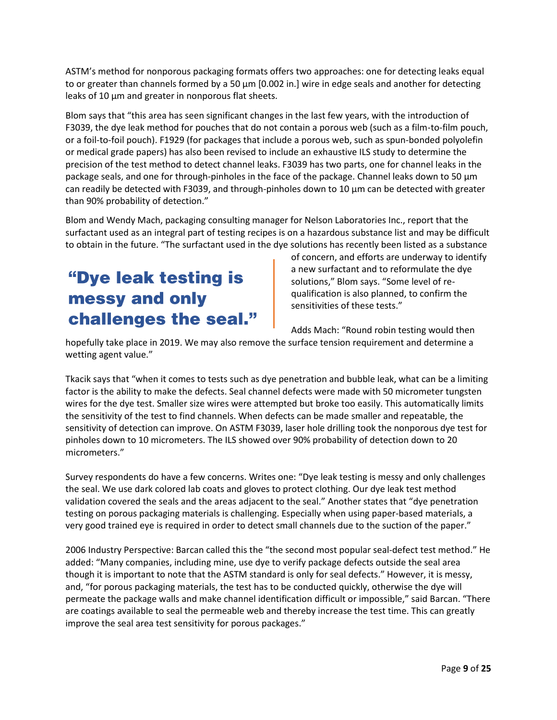ASTM's method for nonporous packaging formats offers two approaches: one for detecting leaks equal to or greater than channels formed by a 50  $\mu$ m [0.002 in.] wire in edge seals and another for detecting leaks of 10  $\mu$ m and greater in nonporous flat sheets.

Blom says that "this area has seen significant changes in the last few years, with the introduction of F3039, the dye leak method for pouches that do not contain a porous web (such as a film-to-film pouch, or a foil-to-foil pouch). F1929 (for packages that include a porous web, such as spun-bonded polyolefin or medical grade papers) has also been revised to include an exhaustive ILS study to determine the precision of the test method to detect channel leaks. F3039 has two parts, one for channel leaks in the package seals, and one for through-pinholes in the face of the package. Channel leaks down to 50 µm can readily be detected with F3039, and through-pinholes down to 10 µm can be detected with greater than 90% probability of detection."

Blom and Wendy Mach, packaging consulting manager for Nelson Laboratories Inc., report that the surfactant used as an integral part of testing recipes is on a hazardous substance list and may be difficult to obtain in the future. "The surfactant used in the dye solutions has recently been listed as a substance

### "Dye leak testing is messy and only challenges the seal."

of concern, and efforts are underway to identify a new surfactant and to reformulate the dye solutions," Blom says. "Some level of requalification is also planned, to confirm the sensitivities of these tests."

Adds Mach: "Round robin testing would then

hopefully take place in 2019. We may also remove the surface tension requirement and determine a wetting agent value."

Tkacik says that "when it comes to tests such as dye penetration and bubble leak, what can be a limiting factor is the ability to make the defects. Seal channel defects were made with 50 micrometer tungsten wires for the dye test. Smaller size wires were attempted but broke too easily. This automatically limits the sensitivity of the test to find channels. When defects can be made smaller and repeatable, the sensitivity of detection can improve. On ASTM F3039, laser hole drilling took the nonporous dye test for pinholes down to 10 micrometers. The ILS showed over 90% probability of detection down to 20 micrometers."

Survey respondents do have a few concerns. Writes one: "Dye leak testing is messy and only challenges the seal. We use dark colored lab coats and gloves to protect clothing. Our dye leak test method validation covered the seals and the areas adjacent to the seal." Another states that "dye penetration testing on porous packaging materials is challenging. Especially when using paper-based materials, a very good trained eye is required in order to detect small channels due to the suction of the paper."

2006 Industry Perspective: Barcan called this the "the second most popular seal-defect test method." He added: "Many companies, including mine, use dye to verify package defects outside the seal area though it is important to note that the ASTM standard is only for seal defects." However, it is messy, and, "for porous packaging materials, the test has to be conducted quickly, otherwise the dye will permeate the package walls and make channel identification difficult or impossible," said Barcan. "There are coatings available to seal the permeable web and thereby increase the test time. This can greatly improve the seal area test sensitivity for porous packages."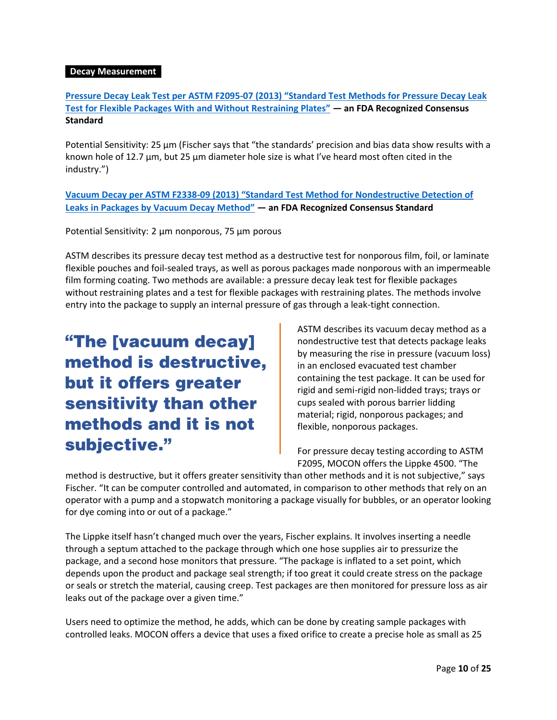#### *Decay Measurement*

**[Pressure Decay Leak Test per ASTM F2095-07 \(2013\)](https://www.astm.org/Standards/F2095.htm) "Standard Test Methods for Pressure Decay Leak [Test for Flexible Packages With and Without Restraining Plates"](https://www.astm.org/Standards/F2095.htm) — an FDA Recognized Consensus Standard** 

Potential Sensitivity: 25  $\mu$ m (Fischer says that "the standards' precision and bias data show results with a known hole of 12.7 µm, but 25 µm diameter hole size is what I've heard most often cited in the industry.")

**Vacuum Decay per ASTM F2338-09 (2013) "[Standard Test Method for Nondestructive Detection of](https://www.astm.org/Standards/F2338.htm)  [Leaks in Packages by Vacuum Decay Method](https://www.astm.org/Standards/F2338.htm)" — an FDA Recognized Consensus Standard** 

Potential Sensitivity: 2 µm nonporous, 75 µm porous

ASTM describes its pressure decay test method as a destructive test for nonporous film, foil, or laminate flexible pouches and foil-sealed trays, as well as porous packages made nonporous with an impermeable film forming coating. Two methods are available: a pressure decay leak test for flexible packages without restraining plates and a test for flexible packages with restraining plates. The methods involve entry into the package to supply an internal pressure of gas through a leak-tight connection.

"The [vacuum decay] method is destructive, but it offers greater sensitivity than other methods and it is not subjective."

ASTM describes its vacuum decay method as a nondestructive test that detects package leaks by measuring the rise in pressure (vacuum loss) in an enclosed evacuated test chamber containing the test package. It can be used for rigid and semi-rigid non-lidded trays; trays or cups sealed with porous barrier lidding material; rigid, nonporous packages; and flexible, nonporous packages.

For pressure decay testing according to ASTM F2095, MOCON offers the Lippke 4500. "The

method is destructive, but it offers greater sensitivity than other methods and it is not subjective," says Fischer. "It can be computer controlled and automated, in comparison to other methods that rely on an operator with a pump and a stopwatch monitoring a package visually for bubbles, or an operator looking for dye coming into or out of a package."

The Lippke itself hasn't changed much over the years, Fischer explains. It involves inserting a needle through a septum attached to the package through which one hose supplies air to pressurize the package, and a second hose monitors that pressure. "The package is inflated to a set point, which depends upon the product and package seal strength; if too great it could create stress on the package or seals or stretch the material, causing creep. Test packages are then monitored for pressure loss as air leaks out of the package over a given time."

Users need to optimize the method, he adds, which can be done by creating sample packages with controlled leaks. MOCON offers a device that uses a fixed orifice to create a precise hole as small as 25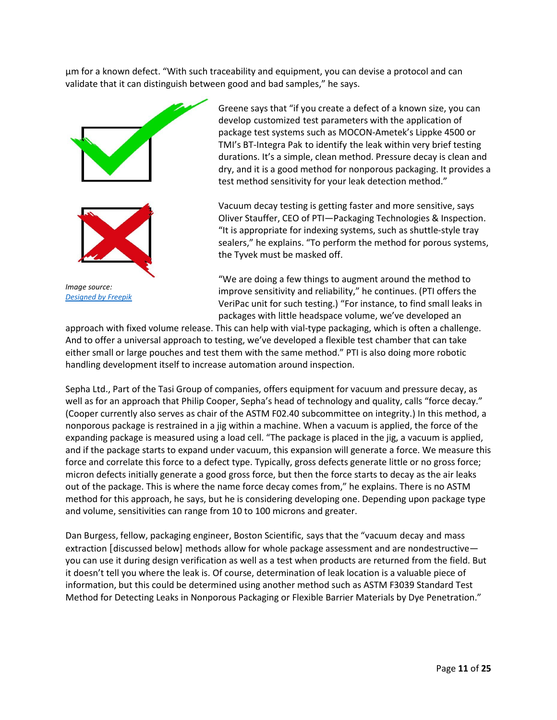µm for a known defect. "With such traceability and equipment, you can devise a protocol and can validate that it can distinguish between good and bad samples," he says.



*[Designed by Freepik](https://www.freepik.com/free-vector/check-marks_681734.htm)*

Greene says that "if you create a defect of a known size, you can develop customized test parameters with the application of package test systems such as MOCON-Ametek's Lippke 4500 or TMI's BT-Integra Pak to identify the leak within very brief testing durations. It's a simple, clean method. Pressure decay is clean and dry, and it is a good method for nonporous packaging. It provides a test method sensitivity for your leak detection method."

Vacuum decay testing is getting faster and more sensitive, says Oliver Stauffer, CEO of PTI—Packaging Technologies & Inspection. "It is appropriate for indexing systems, such as shuttle-style tray sealers," he explains. "To perform the method for porous systems, the Tyvek must be masked off.

"We are doing a few things to augment around the method to improve sensitivity and reliability," he continues. (PTI offers the VeriPac unit for such testing.) "For instance, to find small leaks in packages with little headspace volume, we've developed an

approach with fixed volume release. This can help with vial-type packaging, which is often a challenge. And to offer a universal approach to testing, we've developed a flexible test chamber that can take either small or large pouches and test them with the same method." PTI is also doing more robotic handling development itself to increase automation around inspection.

Sepha Ltd., Part of the Tasi Group of companies, offers equipment for vacuum and pressure decay, as well as for an approach that Philip Cooper, Sepha's head of technology and quality, calls "force decay." (Cooper currently also serves as chair of the ASTM F02.40 subcommittee on integrity.) In this method, a nonporous package is restrained in a jig within a machine. When a vacuum is applied, the force of the expanding package is measured using a load cell. "The package is placed in the jig, a vacuum is applied, and if the package starts to expand under vacuum, this expansion will generate a force. We measure this force and correlate this force to a defect type. Typically, gross defects generate little or no gross force; micron defects initially generate a good gross force, but then the force starts to decay as the air leaks out of the package. This is where the name force decay comes from," he explains. There is no ASTM method for this approach, he says, but he is considering developing one. Depending upon package type and volume, sensitivities can range from 10 to 100 microns and greater.

Dan Burgess, fellow, packaging engineer, Boston Scientific, says that the "vacuum decay and mass extraction [discussed below] methods allow for whole package assessment and are nondestructive you can use it during design verification as well as a test when products are returned from the field. But it doesn't tell you where the leak is. Of course, determination of leak location is a valuable piece of information, but this could be determined using another method such as ASTM F3039 Standard Test Method for Detecting Leaks in Nonporous Packaging or Flexible Barrier Materials by Dye Penetration."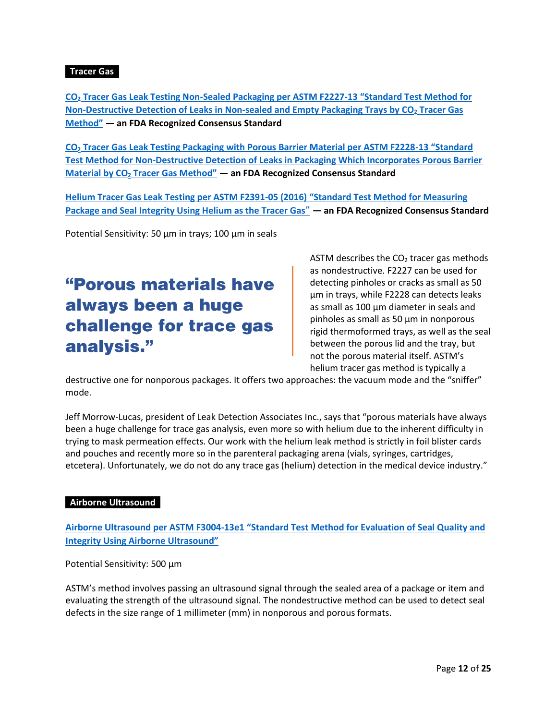#### **Tracer Gas•**

**CO<sup>2</sup> [Tracer Gas Leak Testing Non-Sealed Packaging per ASTM F2227-13](https://www.astm.org/Standards/F2227.htm) "Standard Test Method for [Non-Destructive Detection of Leaks in Non-sealed and Empty Packaging Trays by CO](https://www.astm.org/Standards/F2227.htm)<sup>2</sup> Tracer Gas [Method"](https://www.astm.org/Standards/F2227.htm) — an FDA Recognized Consensus Standard** 

**CO<sup>2</sup> [Tracer Gas Leak Testing Packaging with Porous Barrier Material per ASTM F2228-13](https://www.astm.org/Standards/F2228.htm) "Standard [Test Method for Non-Destructive Detection of Leaks in Packaging Which Incorporates Porous Barrier](https://www.astm.org/Standards/F2228.htm)  Material by CO<sup>2</sup> [Tracer Gas Method"](https://www.astm.org/Standards/F2228.htm) — an FDA Recognized Consensus Standard**

**[Helium Tracer Gas Leak Testing per ASTM F2391-05 \(2016\)](https://www.astm.org/Standards/F2391.htm) "Standard Test Method for Measuring [Package and Seal Integrity Using Helium as the Tracer Gas](https://www.astm.org/Standards/F2391.htm)**" **— an FDA Recognized Consensus Standard**

Potential Sensitivity: 50 µm in trays; 100 µm in seals

### "Porous materials have always been a huge challenge for trace gas analysis."

ASTM describes the  $CO<sub>2</sub>$  tracer gas methods as nondestructive. F2227 can be used for detecting pinholes or cracks as small as 50 μm in trays, while F2228 can detects leaks as small as 100 μm diameter in seals and pinholes as small as 50 μm in nonporous rigid thermoformed trays, as well as the seal between the porous lid and the tray, but not the porous material itself. ASTM's helium tracer gas method is typically a

destructive one for nonporous packages. It offers two approaches: the vacuum mode and the "sniffer" mode.

Jeff Morrow-Lucas, president of Leak Detection Associates Inc., says that "porous materials have always been a huge challenge for trace gas analysis, even more so with helium due to the inherent difficulty in trying to mask permeation effects. Our work with the helium leak method is strictly in foil blister cards and pouches and recently more so in the parenteral packaging arena (vials, syringes, cartridges, etcetera). Unfortunately, we do not do any trace gas (helium) detection in the medical device industry."

#### **Airborne Ultrasound•**

**Airborne Ultrasound per ASTM F3004-13e1 "[Standard Test Method for Evaluation of Seal Quality and](https://www.astm.org/Standards/F3004.htm)  [Integrity Using Airborne](https://www.astm.org/Standards/F3004.htm) Ultrasound"**

Potential Sensitivity: 500 µm

ASTM's method involves passing an ultrasound signal through the sealed area of a package or item and evaluating the strength of the ultrasound signal. The nondestructive method can be used to detect seal defects in the size range of 1 millimeter (mm) in nonporous and porous formats.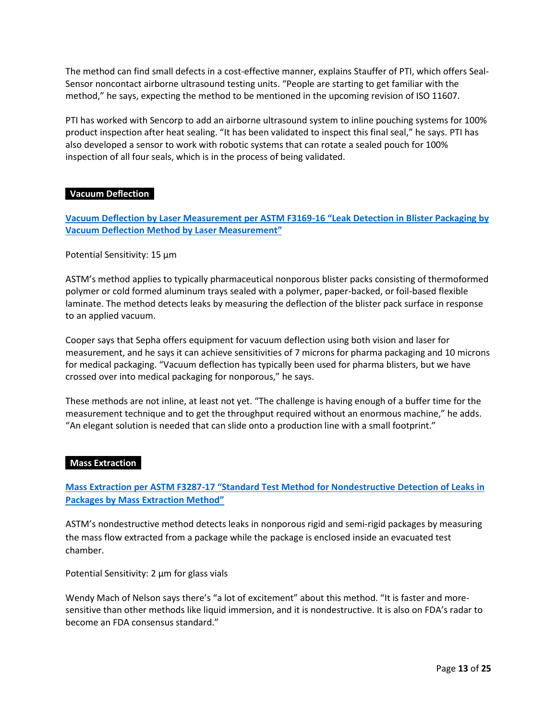The method can find small defects in a cost-effective manner, explains Stauffer of PTI, which offers Seal-Sensor noncontact airborne ultrasound testing units. "People are starting to get familiar with the method," he says, expecting the method to be mentioned in the upcoming revision of ISO 11607.

PTI has worked with Sencorp to add an airborne ultrasound system to inline pouching systems for 100% product inspection after heat sealing. "It has been validated to inspect this final seal," he says. PTI has also developed a sensor to work with robotic systems that can rotate a sealed pouch for 100% inspection of all four seals, which is in the process of being validated.

#### **Vacuum Deflection•**

**[Vacuum Deflection by Laser Measurement per ASTM F3169-16](https://www.astm.org/Standards/F3169.htm) "Leak Detection in Blister Packaging by [Vacuum Deflection Method by Laser Measurement](https://www.astm.org/Standards/F3169.htm)"**

#### Potential Sensitivity: 15 µm

ASTM's method applies to typically pharmaceutical nonporous blister packs consisting of thermoformed polymer or cold formed aluminum trays sealed with a polymer, paper-backed, or foil-based flexible laminate. The method detects leaks by measuring the deflection of the blister pack surface in response to an applied vacuum.

Cooper says that Sepha offers equipment for vacuum deflection using both vision and laser for measurement, and he says it can achieve sensitivities of 7 microns for pharma packaging and 10 microns for medical packaging. "Vacuum deflection has typically been used for pharma blisters, but we have crossed over into medical packaging for nonporous," he says.

These methods are not inline, at least not yet. "The challenge is having enough of a buffer time for the measurement technique and to get the throughput required without an enormous machine," he adds. "An elegant solution is needed that can slide onto a production line with a small footprint."

#### **Mass Extraction**

**Mass Extraction per ASTM F3287-17 ["Standard Test Method for Nondestructive](https://www.astm.org/Standards/F3287.htm) Detection of Leaks in [Packages by Mass Extraction Method"](https://www.astm.org/Standards/F3287.htm)**

ASTM's nondestructive method detects leaks in nonporous rigid and semi-rigid packages by measuring the mass flow extracted from a package while the package is enclosed inside an evacuated test chamber.

Potential Sensitivity: 2 µm for glass vials

Wendy Mach of Nelson says there's "a lot of excitement" about this method. "It is faster and moresensitive than other methods like liquid immersion, and it is nondestructive. It is also on FDA's radar to become an FDA consensus standard."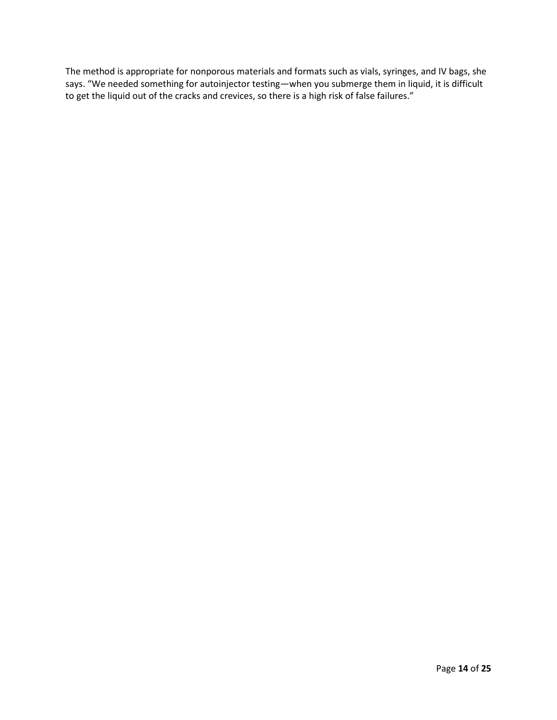The method is appropriate for nonporous materials and formats such as vials, syringes, and IV bags, she says. "We needed something for autoinjector testing—when you submerge them in liquid, it is difficult to get the liquid out of the cracks and crevices, so there is a high risk of false failures."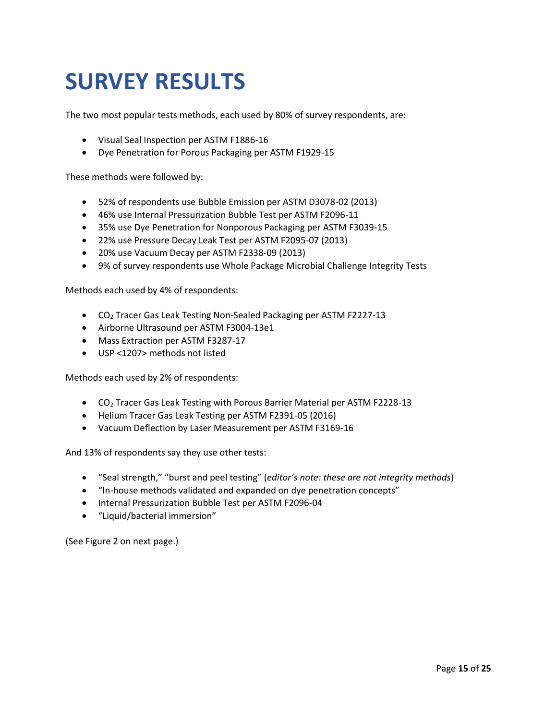### **SURVEY RESULTS**

The two most popular tests methods, each used by 80% of survey respondents, are:

- Visual Seal Inspection per ASTM F1886-16
- Dye Penetration for Porous Packaging per ASTM F1929-15

These methods were followed by:

- 52% of respondents use Bubble Emission per ASTM D3078-02 (2013)
- 46% use Internal Pressurization Bubble Test per ASTM F2096-11
- 35% use Dye Penetration for Nonporous Packaging per ASTM F3039-15
- 22% use Pressure Decay Leak Test per ASTM F2095-07 (2013)
- 20% use Vacuum Decay per ASTM F2338-09 (2013)
- 9% of survey respondents use Whole Package Microbial Challenge Integrity Tests

Methods each used by 4% of respondents:

- CO<sup>2</sup> Tracer Gas Leak Testing Non-Sealed Packaging per ASTM F2227-13
- Airborne Ultrasound per ASTM F3004-13e1
- Mass Extraction per ASTM F3287-17
- USP <1207> methods not listed

Methods each used by 2% of respondents:

- CO<sub>2</sub> Tracer Gas Leak Testing with Porous Barrier Material per ASTM F2228-13
- Helium Tracer Gas Leak Testing per ASTM F2391-05 (2016)
- Vacuum Deflection by Laser Measurement per ASTM F3169-16

And 13% of respondents say they use other tests:

- "Seal strength," "burst and peel testing" (*editor's note: these are not integrity methods*)
- "In-house methods validated and expanded on dye penetration concepts"
- Internal Pressurization Bubble Test per ASTM F2096-04
- "Liquid/bacterial immersion"

(See Figure 2 on next page.)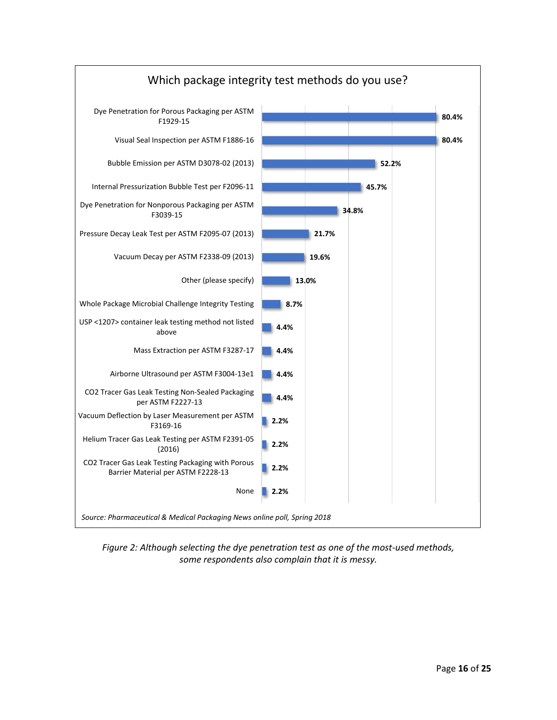

*Figure 2: Although selecting the dye penetration test as one of the most-used methods, some respondents also complain that it is messy.*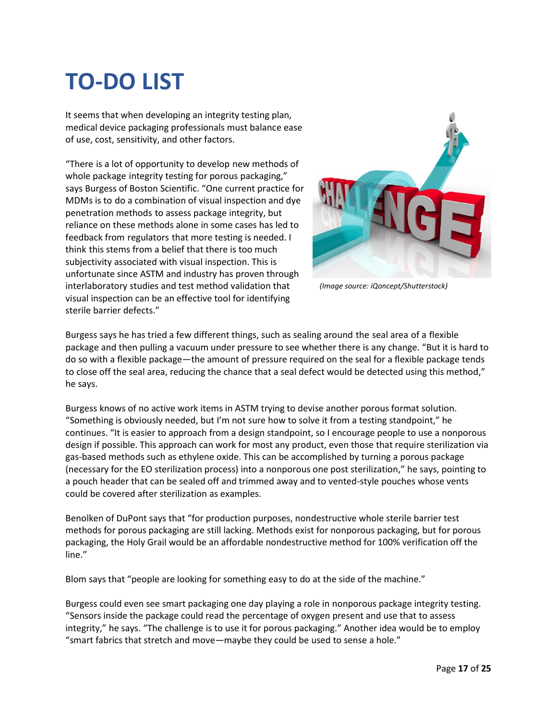# **TO-DO LIST**

It seems that when developing an integrity testing plan, medical device packaging professionals must balance ease of use, cost, sensitivity, and other factors.

"There is a lot of opportunity to develop new methods of whole package integrity testing for porous packaging," says Burgess of Boston Scientific. "One current practice for MDMs is to do a combination of visual inspection and dye penetration methods to assess package integrity, but reliance on these methods alone in some cases has led to feedback from regulators that more testing is needed. I think this stems from a belief that there is too much subjectivity associated with visual inspection. This is unfortunate since ASTM and industry has proven through interlaboratory studies and test method validation that visual inspection can be an effective tool for identifying sterile barrier defects."



*(Image source: iQoncept/Shutterstock)*

Burgess says he has tried a few different things, such as sealing around the seal area of a flexible package and then pulling a vacuum under pressure to see whether there is any change. "But it is hard to do so with a flexible package—the amount of pressure required on the seal for a flexible package tends to close off the seal area, reducing the chance that a seal defect would be detected using this method," he says.

Burgess knows of no active work items in ASTM trying to devise another porous format solution. "Something is obviously needed, but I'm not sure how to solve it from a testing standpoint," he continues. "It is easier to approach from a design standpoint, so I encourage people to use a nonporous design if possible. This approach can work for most any product, even those that require sterilization via gas-based methods such as ethylene oxide. This can be accomplished by turning a porous package (necessary for the EO sterilization process) into a nonporous one post sterilization," he says, pointing to a pouch header that can be sealed off and trimmed away and to vented-style pouches whose vents could be covered after sterilization as examples.

Benolken of DuPont says that "for production purposes, nondestructive whole sterile barrier test methods for porous packaging are still lacking. Methods exist for nonporous packaging, but for porous packaging, the Holy Grail would be an affordable nondestructive method for 100% verification off the line."

Blom says that "people are looking for something easy to do at the side of the machine."

Burgess could even see smart packaging one day playing a role in nonporous package integrity testing. "Sensors inside the package could read the percentage of oxygen present and use that to assess integrity," he says. "The challenge is to use it for porous packaging." Another idea would be to employ "smart fabrics that stretch and move—maybe they could be used to sense a hole."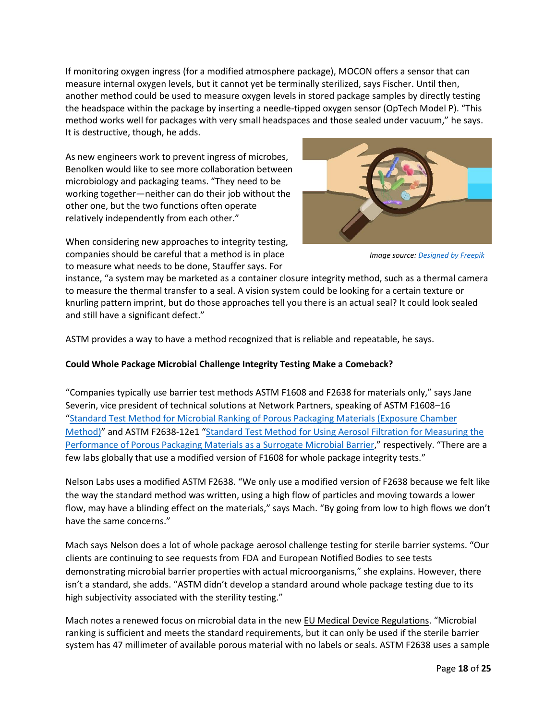If monitoring oxygen ingress (for a modified atmosphere package), MOCON offers a sensor that can measure internal oxygen levels, but it cannot yet be terminally sterilized, says Fischer. Until then, another method could be used to measure oxygen levels in stored package samples by directly testing the headspace within the package by inserting a needle-tipped oxygen sensor (OpTech Model P). "This method works well for packages with very small headspaces and those sealed under vacuum," he says. It is destructive, though, he adds.

As new engineers work to prevent ingress of microbes, Benolken would like to see more collaboration between microbiology and packaging teams. "They need to be working together—neither can do their job without the other one, but the two functions often operate relatively independently from each other."

When considering new approaches to integrity testing, companies should be careful that a method is in place to measure what needs to be done, Stauffer says. For



*Image source: [Designed by Freepik](https://www.freepik.com/free-vector/bacteria-infographics-set_1531468.htm)*

instance, "a system may be marketed as a container closure integrity method, such as a thermal camera to measure the thermal transfer to a seal. A vision system could be looking for a certain texture or knurling pattern imprint, but do those approaches tell you there is an actual seal? It could look sealed and still have a significant defect."

ASTM provides a way to have a method recognized that is reliable and repeatable, he says.

#### **Could Whole Package Microbial Challenge Integrity Testing Make a Comeback?**

"Companies typically use barrier test methods ASTM F1608 and F2638 for materials only," says Jane Severin, vice president of technical solutions at Network Partners, speaking of ASTM F1608–16 "[Standard Test Method for Microbial Ranking of Porous Packaging Materials \(Exposure Chamber](https://www.astm.org/Standards/F1608.htm)  [Method\)](https://www.astm.org/Standards/F1608.htm)" and ASTM F2638-12e1 "[Standard Test Method for Using Aerosol Filtration for Measuring the](https://www.astm.org/Standards/F2638.htm)  [Performance of Porous Packaging Materials as a Surrogate Microbial Barrier](https://www.astm.org/Standards/F2638.htm)," respectively. "There are a few labs globally that use a modified version of F1608 for whole package integrity tests."

Nelson Labs uses a modified ASTM F2638. "We only use a modified version of F2638 because we felt like the way the standard method was written, using a high flow of particles and moving towards a lower flow, may have a blinding effect on the materials," says Mach. "By going from low to high flows we don't have the same concerns."

Mach says Nelson does a lot of whole package aerosol challenge testing for sterile barrier systems. "Our clients are continuing to see requests from FDA and European Notified Bodies to see tests demonstrating microbial barrier properties with actual microorganisms," she explains. However, there isn't a standard, she adds. "ASTM didn't develop a standard around whole package testing due to its high subjectivity associated with the sterility testing."

Mach notes a renewed focus on microbial data in the new [EU Medical Device Regulations](https://www.packagingdigest.com/medical-packaging/pmp-harmonizing-ISO-11607-with-the-eu-medical-device-regulations-180411). "Microbial ranking is sufficient and meets the standard requirements, but it can only be used if the sterile barrier system has 47 millimeter of available porous material with no labels or seals. ASTM F2638 uses a sample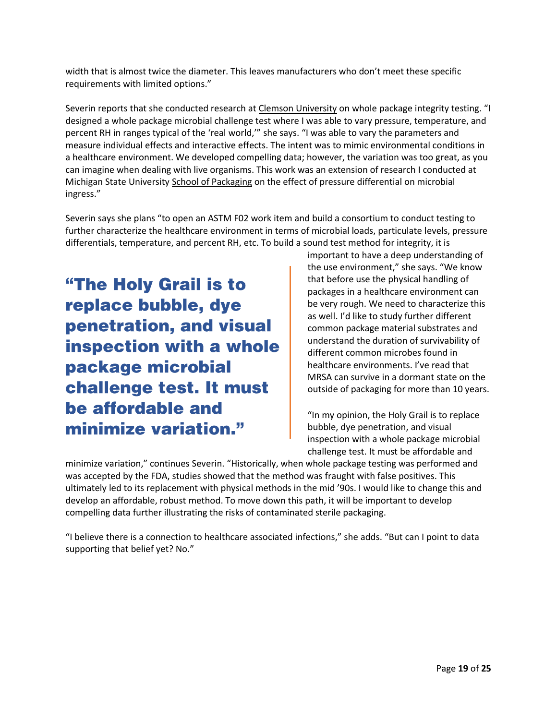width that is almost twice the diameter. This leaves manufacturers who don't meet these specific requirements with limited options."

Severin reports that she conducted research at [Clemson University](http://www.clemson.edu/) on whole package integrity testing. "I designed a whole package microbial challenge test where I was able to vary pressure, temperature, and percent RH in ranges typical of the 'real world,'" she says. "I was able to vary the parameters and measure individual effects and interactive effects. The intent was to mimic environmental conditions in a healthcare environment. We developed compelling data; however, the variation was too great, as you can imagine when dealing with live organisms. This work was an extension of research I conducted at Michigan State University [School of Packaging](https://www.canr.msu.edu/packaging/) on the effect of pressure differential on microbial ingress."

Severin says she plans "to open an ASTM F02 work item and build a consortium to conduct testing to further characterize the healthcare environment in terms of microbial loads, particulate levels, pressure differentials, temperature, and percent RH, etc. To build a sound test method for integrity, it is

"The Holy Grail is to replace bubble, dye penetration, and visual inspection with a whole package microbial challenge test. It must be affordable and minimize variation."

important to have a deep understanding of the use environment," she says. "We know that before use the physical handling of packages in a healthcare environment can be very rough. We need to characterize this as well. I'd like to study further different common package material substrates and understand the duration of survivability of different common microbes found in healthcare environments. I've read that MRSA can survive in a dormant state on the outside of packaging for more than 10 years.

"In my opinion, the Holy Grail is to replace bubble, dye penetration, and visual inspection with a whole package microbial challenge test. It must be affordable and

minimize variation," continues Severin. "Historically, when whole package testing was performed and was accepted by the FDA, studies showed that the method was fraught with false positives. This ultimately led to its replacement with physical methods in the mid '90s. I would like to change this and develop an affordable, robust method. To move down this path, it will be important to develop compelling data further illustrating the risks of contaminated sterile packaging.

"I believe there is a connection to healthcare associated infections," she adds. "But can I point to data supporting that belief yet? No."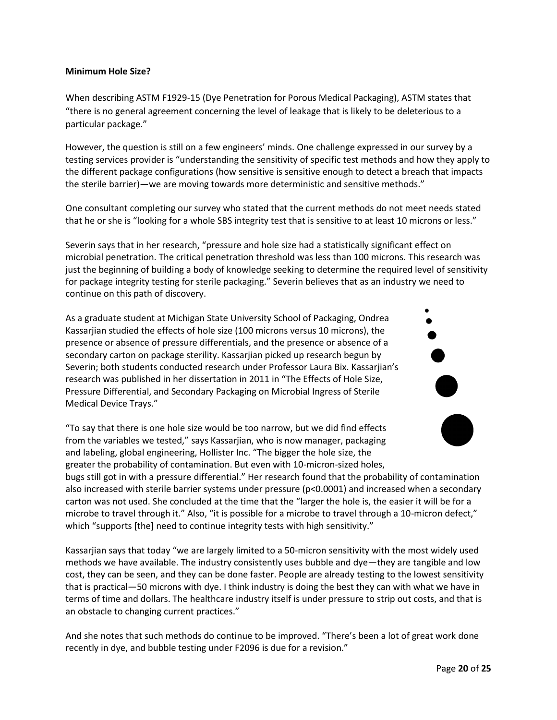#### **Minimum Hole Size?**

When describing ASTM F1929-15 (Dye Penetration for Porous Medical Packaging), ASTM states that "there is no general agreement concerning the level of leakage that is likely to be deleterious to a particular package."

However, the question is still on a few engineers' minds. One challenge expressed in our survey by a testing services provider is "understanding the sensitivity of specific test methods and how they apply to the different package configurations (how sensitive is sensitive enough to detect a breach that impacts the sterile barrier)—we are moving towards more deterministic and sensitive methods."

One consultant completing our survey who stated that the current methods do not meet needs stated that he or she is "looking for a whole SBS integrity test that is sensitive to at least 10 microns or less."

Severin says that in her research, "pressure and hole size had a statistically significant effect on microbial penetration. The critical penetration threshold was less than 100 microns. This research was just the beginning of building a body of knowledge seeking to determine the required level of sensitivity for package integrity testing for sterile packaging." Severin believes that as an industry we need to continue on this path of discovery.

As a graduate student at Michigan State University School of Packaging, Ondrea Kassarjian studied the effects of hole size (100 microns versus 10 microns), the presence or absence of pressure differentials, and the presence or absence of a secondary carton on package sterility. Kassarjian picked up research begun by Severin; both students conducted research under Professor Laura Bix. Kassarjian's research was published in her dissertation in 2011 in "The Effects of Hole Size, Pressure Differential, and Secondary Packaging on Microbial Ingress of Sterile Medical Device Trays."

"To say that there is one hole size would be too narrow, but we did find effects from the variables we tested," says Kassarjian, who is now manager, packaging and labeling, global engineering, Hollister Inc. "The bigger the hole size, the greater the probability of contamination. But even with 10-micron-sized holes,



Kassarjian says that today "we are largely limited to a 50-micron sensitivity with the most widely used methods we have available. The industry consistently uses bubble and dye—they are tangible and low cost, they can be seen, and they can be done faster. People are already testing to the lowest sensitivity that is practical—50 microns with dye. I think industry is doing the best they can with what we have in terms of time and dollars. The healthcare industry itself is under pressure to strip out costs, and that is an obstacle to changing current practices."

And she notes that such methods do continue to be improved. "There's been a lot of great work done recently in dye, and bubble testing under F2096 is due for a revision."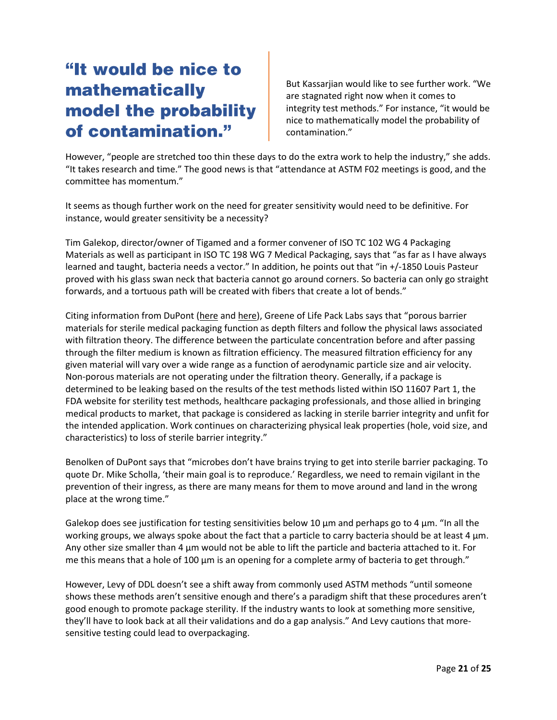### "It would be nice to mathematically model the probability of contamination."

But Kassarjian would like to see further work. "We are stagnated right now when it comes to integrity test methods." For instance, "it would be nice to mathematically model the probability of contamination."

However, "people are stretched too thin these days to do the extra work to help the industry," she adds. "It takes research and time." The good news is that "attendance at ASTM F02 meetings is good, and the committee has momentum."

It seems as though further work on the need for greater sensitivity would need to be definitive. For instance, would greater sensitivity be a necessity?

Tim Galekop, director/owner of Tigamed and a former convener of ISO TC 102 WG 4 Packaging Materials as well as participant in ISO TC 198 WG 7 Medical Packaging, says that "as far as I have always learned and taught, bacteria needs a vector." In addition, he points out that "in +/-1850 Louis Pasteur proved with his glass swan neck that bacteria cannot go around corners. So bacteria can only go straight forwards, and a tortuous path will be created with fibers that create a lot of bends."

Citing information from DuPont [\(here](http://www.dupont.com/products-and-services/packaging-materials-solutions/pharmaceutical-packaging/brands/tyvek-sterile-packaging/articles/how-small-is-small--the-effects-of-pinholes-on-medical-packaging.html) an[d here\)](http://www.dupont.com/content/dam/dupont/products-and-services/packaging-materials-and-solutions/medical-and-pharmaceutical-packaging-materials/documents/MPP_Microbial_Barrier_Properties_Porous_Sterile_Barrier_Systems_Does_Selection_022014.pdf), Greene of Life Pack Labs says that "porous barrier materials for sterile medical packaging function as depth filters and follow the physical laws associated with filtration theory. The difference between the particulate concentration before and after passing through the filter medium is known as filtration efficiency. The measured filtration efficiency for any given material will vary over a wide range as a function of aerodynamic particle size and air velocity. Non-porous materials are not operating under the filtration theory. Generally, if a package is determined to be leaking based on the results of the test methods listed within ISO 11607 Part 1, the FDA website for sterility test methods, healthcare packaging professionals, and those allied in bringing medical products to market, that package is considered as lacking in sterile barrier integrity and unfit for the intended application. Work continues on characterizing physical leak properties (hole, void size, and characteristics) to loss of sterile barrier integrity."

Benolken of DuPont says that "microbes don't have brains trying to get into sterile barrier packaging. To quote Dr. Mike Scholla, 'their main goal is to reproduce.' Regardless, we need to remain vigilant in the prevention of their ingress, as there are many means for them to move around and land in the wrong place at the wrong time."

Galekop does see justification for testing sensitivities below 10  $\mu$ m and perhaps go to 4  $\mu$ m. "In all the working groups, we always spoke about the fact that a particle to carry bacteria should be at least 4  $\mu$ m. Any other size smaller than 4 µm would not be able to lift the particle and bacteria attached to it. For me this means that a hole of 100  $\mu$ m is an opening for a complete army of bacteria to get through."

However, Levy of DDL doesn't see a shift away from commonly used ASTM methods "until someone shows these methods aren't sensitive enough and there's a paradigm shift that these procedures aren't good enough to promote package sterility. If the industry wants to look at something more sensitive, they'll have to look back at all their validations and do a gap analysis." And Levy cautions that moresensitive testing could lead to overpackaging.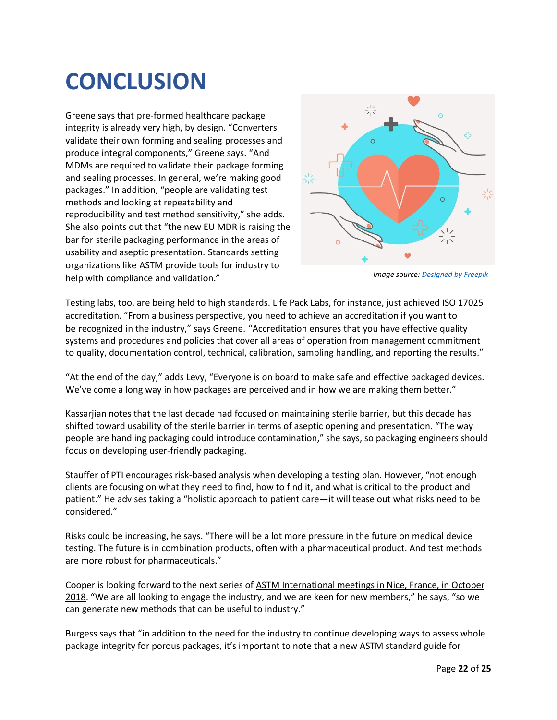## **CONCLUSION**

Greene says that pre-formed healthcare package integrity is already very high, by design. "Converters validate their own forming and sealing processes and produce integral components," Greene says. "And MDMs are required to validate their package forming and sealing processes. In general, we're making good packages." In addition, "people are validating test methods and looking at repeatability and reproducibility and test method sensitivity," she adds. She also points out that "the new EU MDR is raising the bar for sterile packaging performance in the areas of usability and aseptic presentation. Standards setting organizations like ASTM provide tools for industry to help with compliance and validation."



*Image source: [Designed by Freepik](https://www.freepik.com/free-vector/hands-and-cardiology_1222754.htm)*

Testing labs, too, are being held to high standards. Life Pack Labs, for instance, just achieved ISO 17025 accreditation. "From a business perspective, you need to achieve an accreditation if you want to be recognized in the industry," says Greene. "Accreditation ensures that you have effective quality systems and procedures and policies that cover all areas of operation from management commitment to quality, documentation control, technical, calibration, sampling handling, and reporting the results."

"At the end of the day," adds Levy, "Everyone is on board to make safe and effective packaged devices. We've come a long way in how packages are perceived and in how we are making them better."

Kassarjian notes that the last decade had focused on maintaining sterile barrier, but this decade has shifted toward usability of the sterile barrier in terms of aseptic opening and presentation. "The way people are handling packaging could introduce contamination," she says, so packaging engineers should focus on developing user-friendly packaging.

Stauffer of PTI encourages risk-based analysis when developing a testing plan. However, "not enough clients are focusing on what they need to find, how to find it, and what is critical to the product and patient." He advises taking a "holistic approach to patient care—it will tease out what risks need to be considered."

Risks could be increasing, he says. "There will be a lot more pressure in the future on medical device testing. The future is in combination products, often with a pharmaceutical product. And test methods are more robust for pharmaceuticals."

Cooper is looking forward to the next series of [ASTM International meetings in Nice, France, in October](https://www.astm.org/MEETINGS/filtrexx40.cgi?+-P+MAINCOMM+F02+-P+EVENT_ID+3544+-P+MEETING_ID+127290+otherinfomain.frm)  [2018](https://www.astm.org/MEETINGS/filtrexx40.cgi?+-P+MAINCOMM+F02+-P+EVENT_ID+3544+-P+MEETING_ID+127290+otherinfomain.frm). "We are all looking to engage the industry, and we are keen for new members," he says, "so we can generate new methods that can be useful to industry."

Burgess says that "in addition to the need for the industry to continue developing ways to assess whole package integrity for porous packages, it's important to note that a new ASTM standard guide for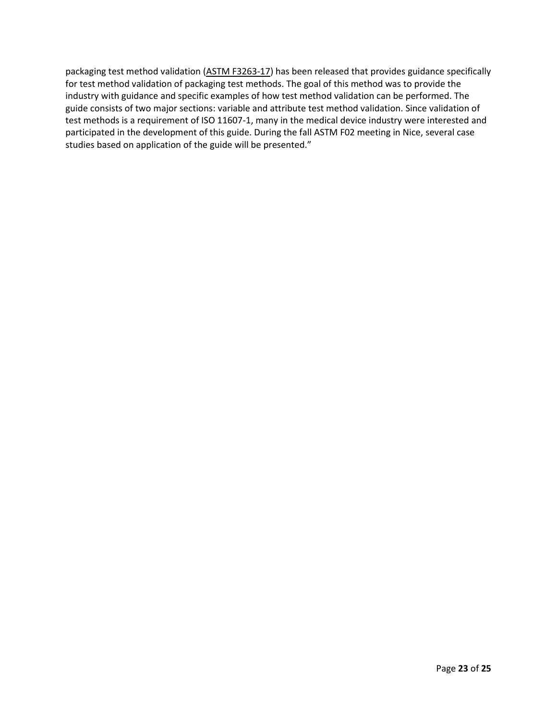packaging test method validation [\(ASTM F3263-17\)](https://www.astm.org/Standards/F3263.htm) has been released that provides guidance specifically for test method validation of packaging test methods. The goal of this method was to provide the industry with guidance and specific examples of how test method validation can be performed. The guide consists of two major sections: variable and attribute test method validation. Since validation of test methods is a requirement of ISO 11607-1, many in the medical device industry were interested and participated in the development of this guide. During the fall ASTM F02 meeting in Nice, several case studies based on application of the guide will be presented."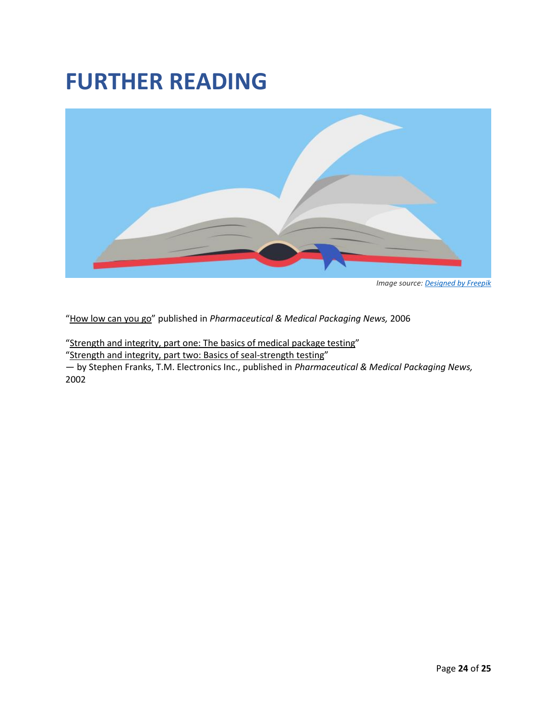### **FURTHER READING**



*Image source[: Designed by Freepik](https://www.freepik.com/free-vector/open-book-in-blue-background_764789.htm)*

"[How low can you go](https://www.packagingdigest.com/testing/pmp-how-low-can-you-go-060707)" published in *Pharmaceutical & Medical Packaging News,* 2006

"[Strength and integrity, part one: The basics of medical package testing](https://www.packagingdigest.com/testing/pmp-strength-and-integrity-part%20one-the-basics-of-medical-package-testing-2002)"

"[Strength and integrity, part two: Basics of seal-strength testing](https://www.packagingdigest.com/testing/pmp-strength-and-integrity-part-two-basics-seal-strength-testing-020617)"

— by Stephen Franks, T.M. Electronics Inc., published in *Pharmaceutical & Medical Packaging News,*  2002